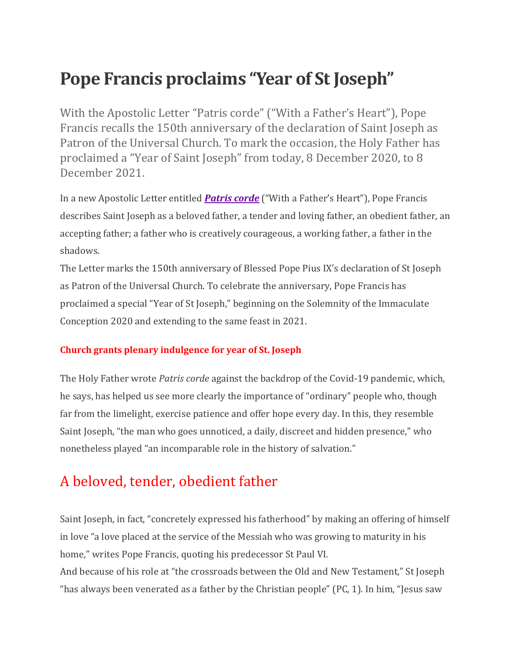# **Pope Francis proclaims "Year of StJoseph"**

With the Apostolic Letter "Patris corde" ("With a Father's Heart"), Pope Francis recalls the 150th anniversary of the declaration of Saint Joseph as Patron of the Universal Church. To mark the occasion, the Holy Father has proclaimed a "Year of Saint Joseph" from today, 8 December 2020, to 8 December 2021.

In a new Apostolic Letter entitled *[Patris corde](http://www.vatican.va/content/francesco/en/apost_letters/documents/papa-francesco-lettera-ap_20201208_patris-corde.html)* ("With a Father's Heart"), Pope Francis describes Saint Joseph as a beloved father, a tender and loving father, an obedient father, an accepting father; a father who is creatively courageous, a working father, a father in the shadows.

The Letter marks the 150th anniversary of Blessed Pope Pius IX's declaration of St Joseph as Patron of the Universal Church. To celebrate the anniversary, Pope Francis has proclaimed a special "Year of St Joseph," beginning on the Solemnity of the Immaculate Conception 2020 and extending to the same feast in 2021.

#### **[Church grants plenary indulgence for year of St. Joseph](https://www.vaticannews.va/en/vatican-city/news/2020-12/apostolic-penitentiary-plenary-indulgence-year-st-joseph.html)**

The Holy Father wrote *Patris corde* against the backdrop of the Covid-19 pandemic, which, he says, has helped us see more clearly the importance of "ordinary" people who, though far from the limelight, exercise patience and offer hope every day. In this, they resemble Saint Joseph, "the man who goes unnoticed, a daily, discreet and hidden presence," who nonetheless played "an incomparable role in the history of salvation."

## A beloved, tender, obedient father

Saint Joseph, in fact, "concretely expressed his fatherhood" by making an offering of himself in love "a love placed at the service of the Messiah who was growing to maturity in his home," writes Pope Francis, quoting his predecessor St Paul VI. And because of his role at "the crossroads between the Old and New Testament," St Joseph "has always been venerated as a father by the Christian people" (PC, 1). In him, "Jesus saw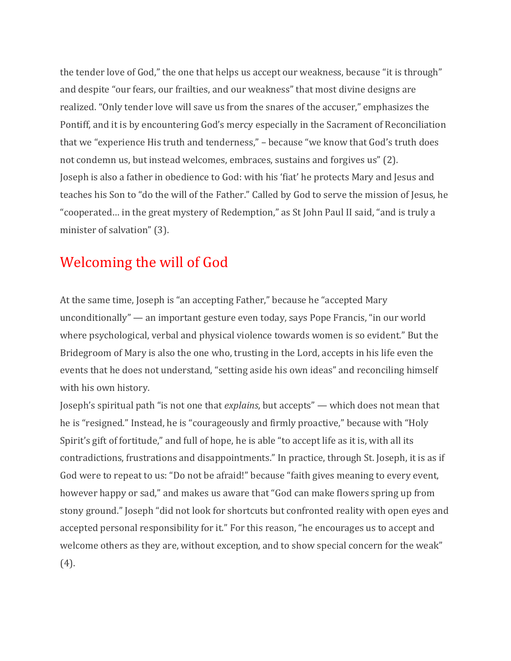the tender love of God," the one that helps us accept our weakness, because "it is through" and despite "our fears, our frailties, and our weakness" that most divine designs are realized. "Only tender love will save us from the snares of the accuser," emphasizes the Pontiff, and it is by encountering God's mercy especially in the Sacrament of Reconciliation that we "experience His truth and tenderness," – because "we know that God's truth does not condemn us, but instead welcomes, embraces, sustains and forgives us" (2). Joseph is also a father in obedience to God: with his 'fiat' he protects Mary and Jesus and teaches his Son to "do the will of the Father." Called by God to serve the mission of Jesus, he "cooperated… in the great mystery of Redemption," as St John Paul II said, "and is truly a minister of salvation" (3).

#### Welcoming the will of God

At the same time, Joseph is "an accepting Father," because he "accepted Mary unconditionally" — an important gesture even today, says Pope Francis, "in our world where psychological, verbal and physical violence towards women is so evident." But the Bridegroom of Mary is also the one who, trusting in the Lord, accepts in his life even the events that he does not understand, "setting aside his own ideas" and reconciling himself with his own history.

Joseph's spiritual path "is not one that *explains*, but accepts" — which does not mean that he is "resigned." Instead, he is "courageously and firmly proactive," because with "Holy Spirit's gift of fortitude," and full of hope, he is able "to accept life as it is, with all its contradictions, frustrations and disappointments." In practice, through St. Joseph, it is as if God were to repeat to us: "Do not be afraid!" because "faith gives meaning to every event, however happy or sad," and makes us aware that "God can make flowers spring up from stony ground." Joseph "did not look for shortcuts but confronted reality with open eyes and accepted personal responsibility for it." For this reason, "he encourages us to accept and welcome others as they are, without exception, and to show special concern for the weak" (4).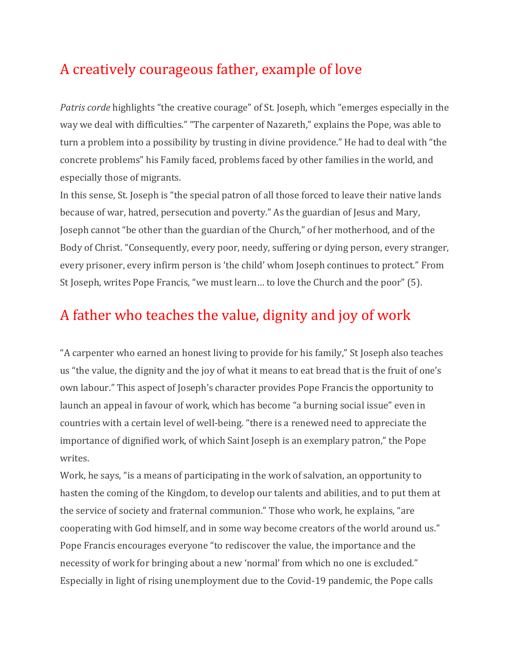#### A creatively courageous father, example of love

*Patris corde* highlights "the creative courage" of St. Joseph, which "emerges especially in the way we deal with difficulties." "The carpenter of Nazareth," explains the Pope, was able to turn a problem into a possibility by trusting in divine providence." He had to deal with "the concrete problems" his Family faced, problems faced by other families in the world, and especially those of migrants.

In this sense, St. Joseph is "the special patron of all those forced to leave their native lands because of war, hatred, persecution and poverty." As the guardian of Jesus and Mary, Joseph cannot "be other than the guardian of the Church," of her motherhood, and of the Body of Christ. "Consequently, every poor, needy, suffering or dying person, every stranger, every prisoner, every infirm person is 'the child' whom Joseph continues to protect." From St Joseph, writes Pope Francis, "we must learn… to love the Church and the poor" (5).

#### A father who teaches the value, dignity and joy of work

"A carpenter who earned an honest living to provide for his family," St Joseph also teaches us "the value, the dignity and the joy of what it means to eat bread that is the fruit of one's own labour." This aspect of Joseph's character provides Pope Francis the opportunity to launch an appeal in favour of work, which has become "a burning social issue" even in countries with a certain level of well-being. "there is a renewed need to appreciate the importance of dignified work, of which Saint Joseph is an exemplary patron," the Pope writes.

Work, he says, "is a means of participating in the work of salvation, an opportunity to hasten the coming of the Kingdom, to develop our talents and abilities, and to put them at the service of society and fraternal communion." Those who work, he explains, "are cooperating with God himself, and in some way become creators of the world around us." Pope Francis encourages everyone "to rediscover the value, the importance and the necessity of work for bringing about a new 'normal' from which no one is excluded." Especially in light of rising unemployment due to the Covid-19 pandemic, the Pope calls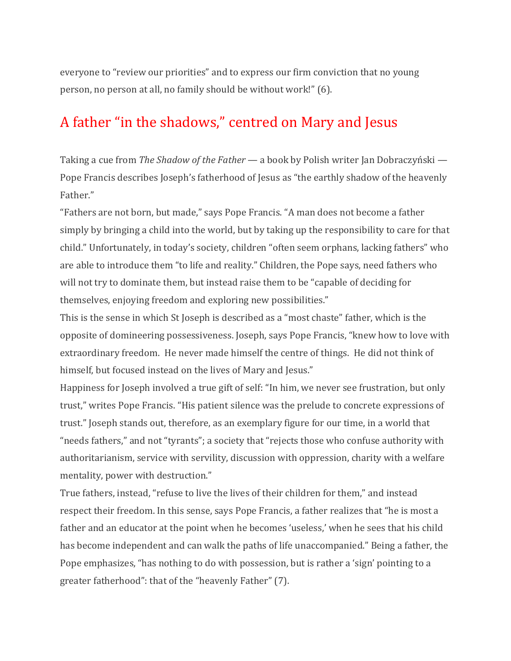everyone to "review our priorities" and to express our firm conviction that no young person, no person at all, no family should be without work!" (6).

### A father "in the shadows," centred on Mary and Jesus

Taking a cue from *The Shadow of the Father* — a book by Polish writer Jan Dobraczyński — Pope Francis describes Joseph's fatherhood of Jesus as "the earthly shadow of the heavenly Father."

"Fathers are not born, but made," says Pope Francis. "A man does not become a father simply by bringing a child into the world, but by taking up the responsibility to care for that child." Unfortunately, in today's society, children "often seem orphans, lacking fathers" who are able to introduce them "to life and reality." Children, the Pope says, need fathers who will not try to dominate them, but instead raise them to be "capable of deciding for themselves, enjoying freedom and exploring new possibilities."

This is the sense in which St Joseph is described as a "most chaste" father, which is the opposite of domineering possessiveness. Joseph, says Pope Francis, "knew how to love with extraordinary freedom. He never made himself the centre of things. He did not think of himself, but focused instead on the lives of Mary and Jesus."

Happiness for Joseph involved a true gift of self: "In him, we never see frustration, but only trust," writes Pope Francis. "His patient silence was the prelude to concrete expressions of trust." Joseph stands out, therefore, as an exemplary figure for our time, in a world that "needs fathers," and not "tyrants"; a society that "rejects those who confuse authority with authoritarianism, service with servility, discussion with oppression, charity with a welfare mentality, power with destruction."

True fathers, instead, "refuse to live the lives of their children for them," and instead respect their freedom. In this sense, says Pope Francis, a father realizes that "he is most a father and an educator at the point when he becomes 'useless,' when he sees that his child has become independent and can walk the paths of life unaccompanied." Being a father, the Pope emphasizes, "has nothing to do with possession, but is rather a 'sign' pointing to a greater fatherhood": that of the "heavenly Father" (7).